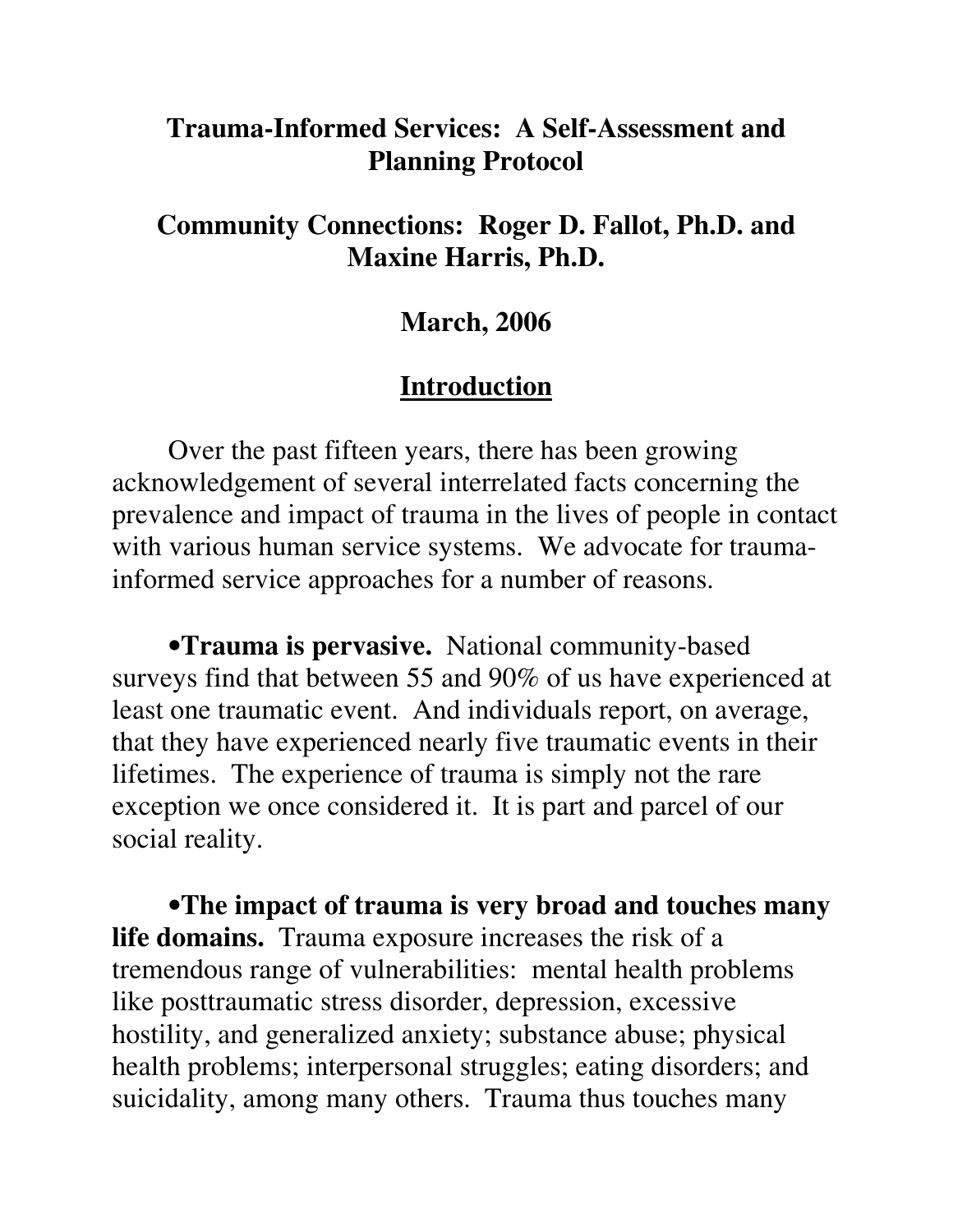#### **Trauma-Informed Services: A Self-Assessment and Planning Protocol**

#### **Community Connections: Roger D. Fallot, Ph.D. and Maxine Harris, Ph.D.**

#### **March, 2006**

#### **Introduction**

Over the past fifteen years, there has been growing acknowledgement of several interrelated facts concerning the prevalence and impact of trauma in the lives of people in contact with various human service systems. We advocate for traumainformed service approaches for a number of reasons.

•**Trauma is pervasive.** National community-based surveys find that between 55 and 90% of us have experienced at least one traumatic event. And individuals report, on average, that they have experienced nearly five traumatic events in their lifetimes. The experience of trauma is simply not the rare exception we once considered it. It is part and parcel of our social reality.

•**The impact of trauma is very broad and touches many life domains.** Trauma exposure increases the risk of a tremendous range of vulnerabilities: mental health problems like posttraumatic stress disorder, depression, excessive hostility, and generalized anxiety; substance abuse; physical health problems; interpersonal struggles; eating disorders; and suicidality, among many others. Trauma thus touches many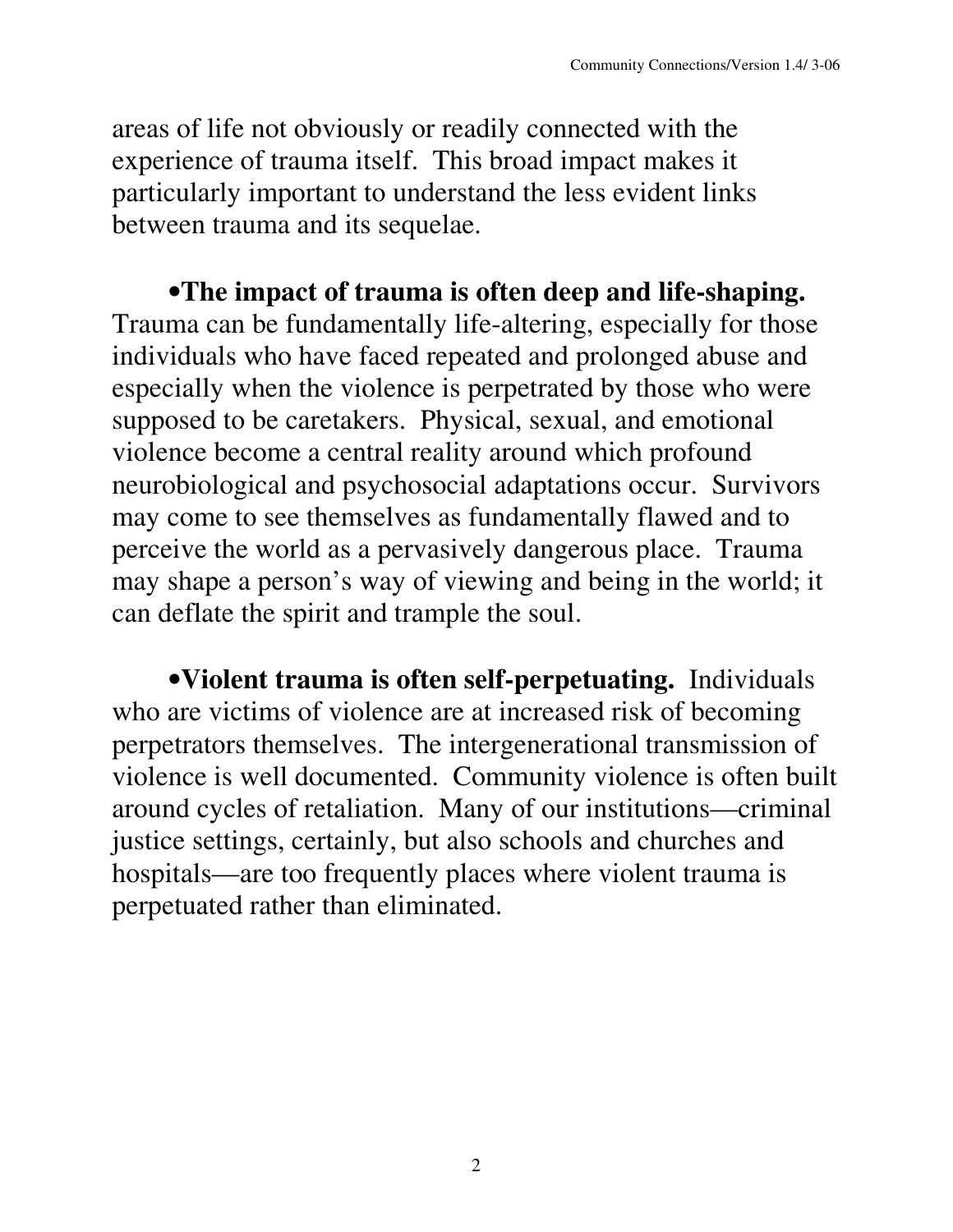areas of life not obviously or readily connected with the experience of trauma itself. This broad impact makes it particularly important to understand the less evident links between trauma and its sequelae.

•**The impact of trauma is often deep and life-shaping.** Trauma can be fundamentally life-altering, especially for those individuals who have faced repeated and prolonged abuse and especially when the violence is perpetrated by those who were supposed to be caretakers. Physical, sexual, and emotional violence become a central reality around which profound neurobiological and psychosocial adaptations occur. Survivors may come to see themselves as fundamentally flawed and to perceive the world as a pervasively dangerous place. Trauma may shape a person's way of viewing and being in the world; it can deflate the spirit and trample the soul.

•**Violent trauma is often self-perpetuating.** Individuals who are victims of violence are at increased risk of becoming perpetrators themselves. The intergenerational transmission of violence is well documented. Community violence is often built around cycles of retaliation. Many of our institutions—criminal justice settings, certainly, but also schools and churches and hospitals—are too frequently places where violent trauma is perpetuated rather than eliminated.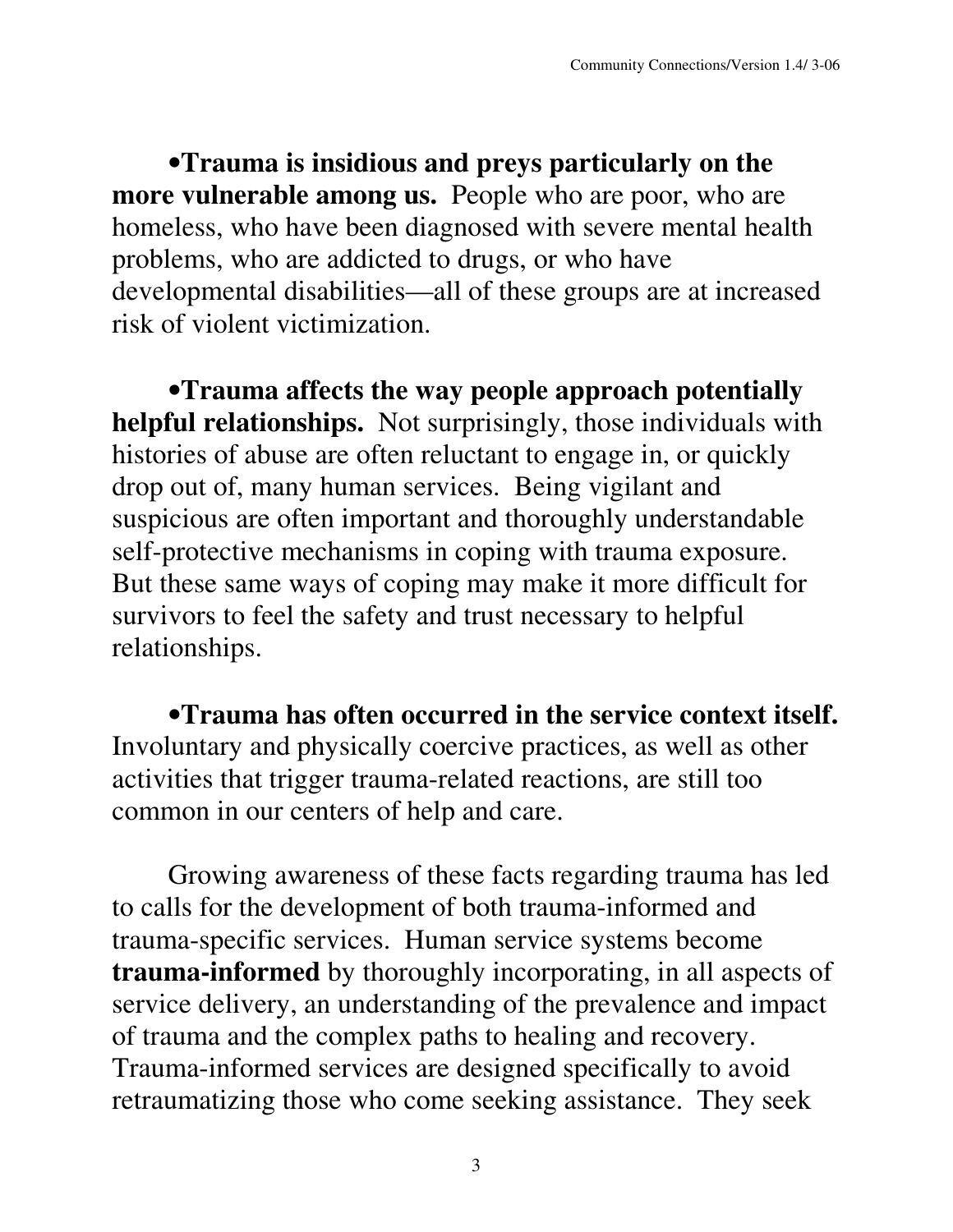•**Trauma is insidious and preys particularly on the more vulnerable among us.** People who are poor, who are homeless, who have been diagnosed with severe mental health problems, who are addicted to drugs, or who have developmental disabilities—all of these groups are at increased risk of violent victimization.

•**Trauma affects the way people approach potentially helpful relationships.** Not surprisingly, those individuals with histories of abuse are often reluctant to engage in, or quickly drop out of, many human services. Being vigilant and suspicious are often important and thoroughly understandable self-protective mechanisms in coping with trauma exposure. But these same ways of coping may make it more difficult for survivors to feel the safety and trust necessary to helpful relationships.

•**Trauma has often occurred in the service context itself.** Involuntary and physically coercive practices, as well as other activities that trigger trauma-related reactions, are still too common in our centers of help and care.

Growing awareness of these facts regarding trauma has led to calls for the development of both trauma-informed and trauma-specific services. Human service systems become **trauma-informed** by thoroughly incorporating, in all aspects of service delivery, an understanding of the prevalence and impact of trauma and the complex paths to healing and recovery. Trauma-informed services are designed specifically to avoid retraumatizing those who come seeking assistance. They seek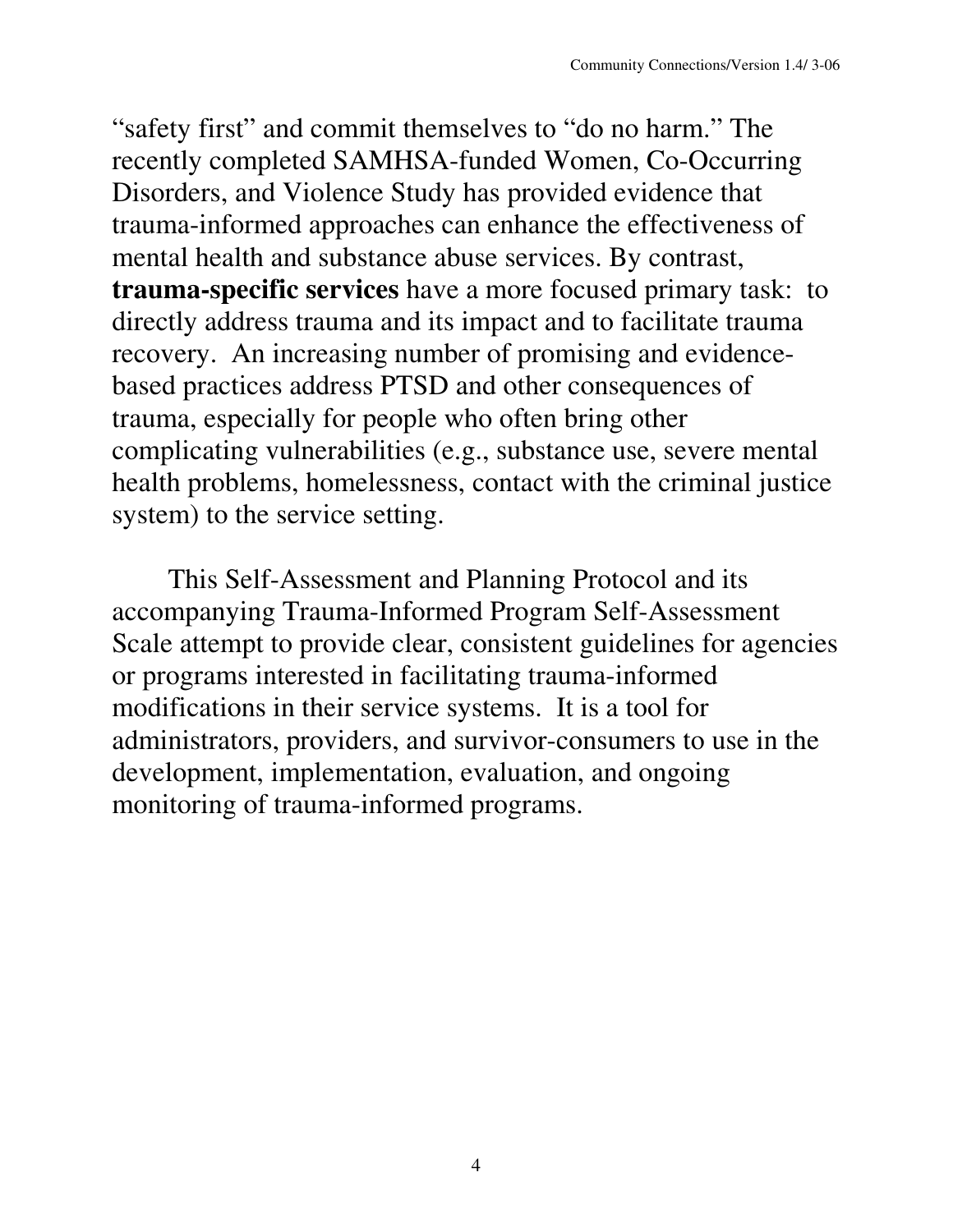"safety first" and commit themselves to "do no harm." The recently completed SAMHSA-funded Women, Co-Occurring Disorders, and Violence Study has provided evidence that trauma-informed approaches can enhance the effectiveness of mental health and substance abuse services. By contrast, **trauma-specific services** have a more focused primary task: to directly address trauma and its impact and to facilitate trauma recovery. An increasing number of promising and evidencebased practices address PTSD and other consequences of trauma, especially for people who often bring other complicating vulnerabilities (e.g., substance use, severe mental health problems, homelessness, contact with the criminal justice system) to the service setting.

This Self-Assessment and Planning Protocol and its accompanying Trauma-Informed Program Self-Assessment Scale attempt to provide clear, consistent guidelines for agencies or programs interested in facilitating trauma-informed modifications in their service systems. It is a tool for administrators, providers, and survivor-consumers to use in the development, implementation, evaluation, and ongoing monitoring of trauma-informed programs.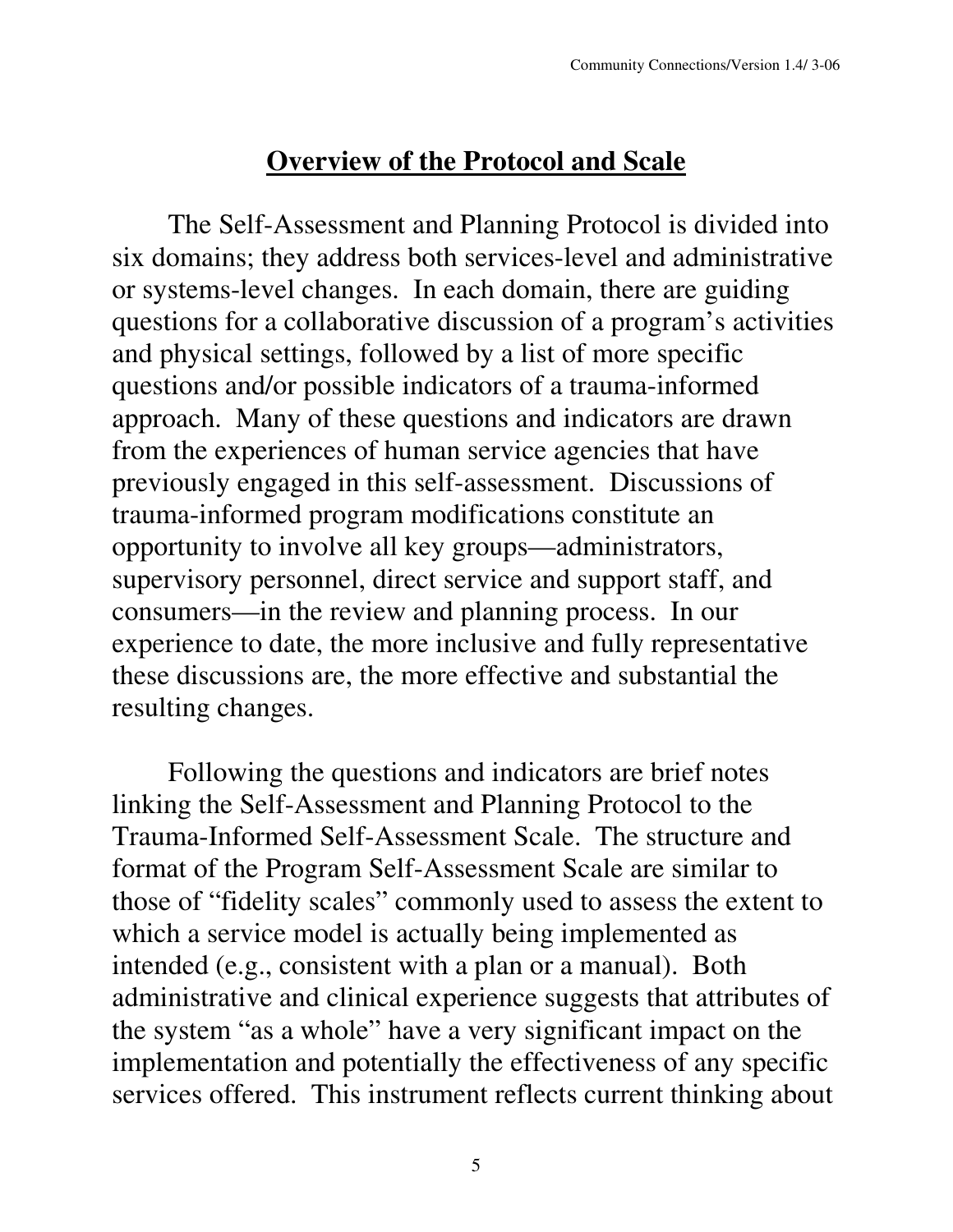#### **Overview of the Protocol and Scale**

The Self-Assessment and Planning Protocol is divided into six domains; they address both services-level and administrative or systems-level changes. In each domain, there are guiding questions for a collaborative discussion of a program's activities and physical settings, followed by a list of more specific questions and/or possible indicators of a trauma-informed approach. Many of these questions and indicators are drawn from the experiences of human service agencies that have previously engaged in this self-assessment. Discussions of trauma-informed program modifications constitute an opportunity to involve all key groups—administrators, supervisory personnel, direct service and support staff, and consumers—in the review and planning process. In our experience to date, the more inclusive and fully representative these discussions are, the more effective and substantial the resulting changes.

Following the questions and indicators are brief notes linking the Self-Assessment and Planning Protocol to the Trauma-Informed Self-Assessment Scale. The structure and format of the Program Self-Assessment Scale are similar to those of "fidelity scales" commonly used to assess the extent to which a service model is actually being implemented as intended (e.g., consistent with a plan or a manual). Both administrative and clinical experience suggests that attributes of the system "as a whole" have a very significant impact on the implementation and potentially the effectiveness of any specific services offered. This instrument reflects current thinking about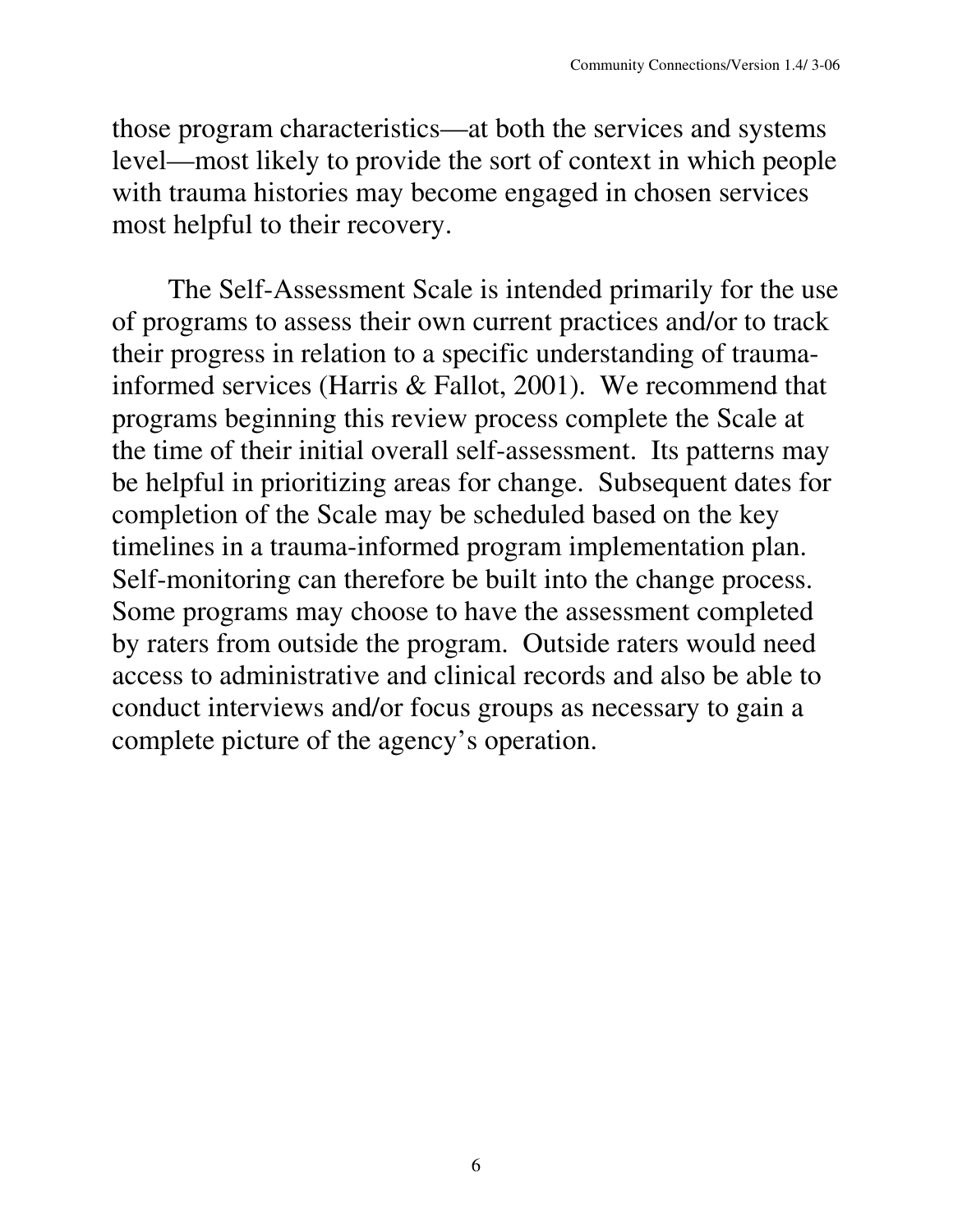those program characteristics—at both the services and systems level—most likely to provide the sort of context in which people with trauma histories may become engaged in chosen services most helpful to their recovery.

The Self-Assessment Scale is intended primarily for the use of programs to assess their own current practices and/or to track their progress in relation to a specific understanding of traumainformed services (Harris & Fallot, 2001). We recommend that programs beginning this review process complete the Scale at the time of their initial overall self-assessment. Its patterns may be helpful in prioritizing areas for change. Subsequent dates for completion of the Scale may be scheduled based on the key timelines in a trauma-informed program implementation plan. Self-monitoring can therefore be built into the change process. Some programs may choose to have the assessment completed by raters from outside the program. Outside raters would need access to administrative and clinical records and also be able to conduct interviews and/or focus groups as necessary to gain a complete picture of the agency's operation.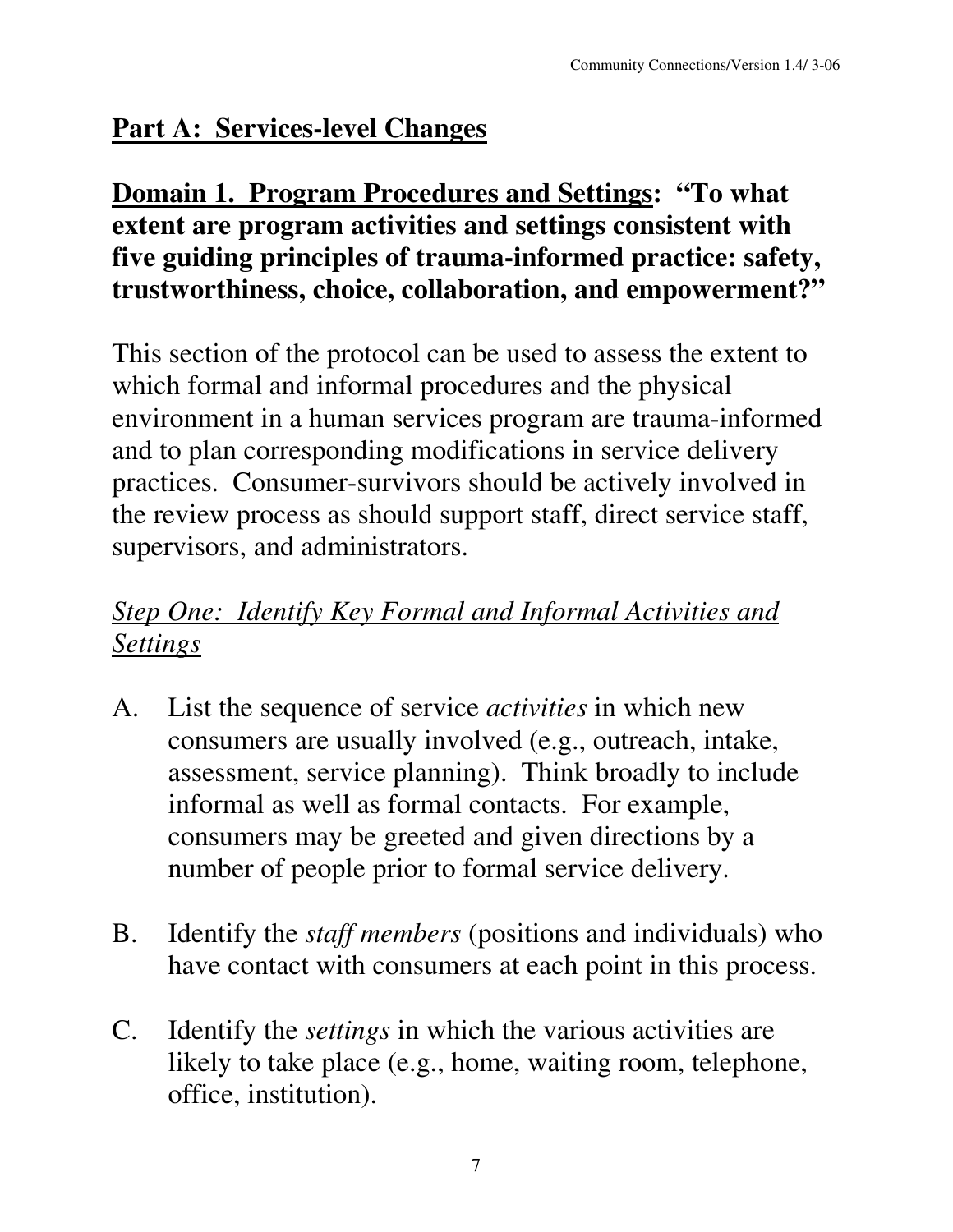# **Part A: Services-level Changes**

### **Domain 1. Program Procedures and Settings: "To what extent are program activities and settings consistent with five guiding principles of trauma-informed practice: safety, trustworthiness, choice, collaboration, and empowerment?"**

This section of the protocol can be used to assess the extent to which formal and informal procedures and the physical environment in a human services program are trauma-informed and to plan corresponding modifications in service delivery practices. Consumer-survivors should be actively involved in the review process as should support staff, direct service staff, supervisors, and administrators.

# *Step One: Identify Key Formal and Informal Activities and Settings*

- A. List the sequence of service *activities* in which new consumers are usually involved (e.g., outreach, intake, assessment, service planning). Think broadly to include informal as well as formal contacts. For example, consumers may be greeted and given directions by a number of people prior to formal service delivery.
- B. Identify the *staff members* (positions and individuals) who have contact with consumers at each point in this process.
- C. Identify the *settings* in which the various activities are likely to take place (e.g., home, waiting room, telephone, office, institution).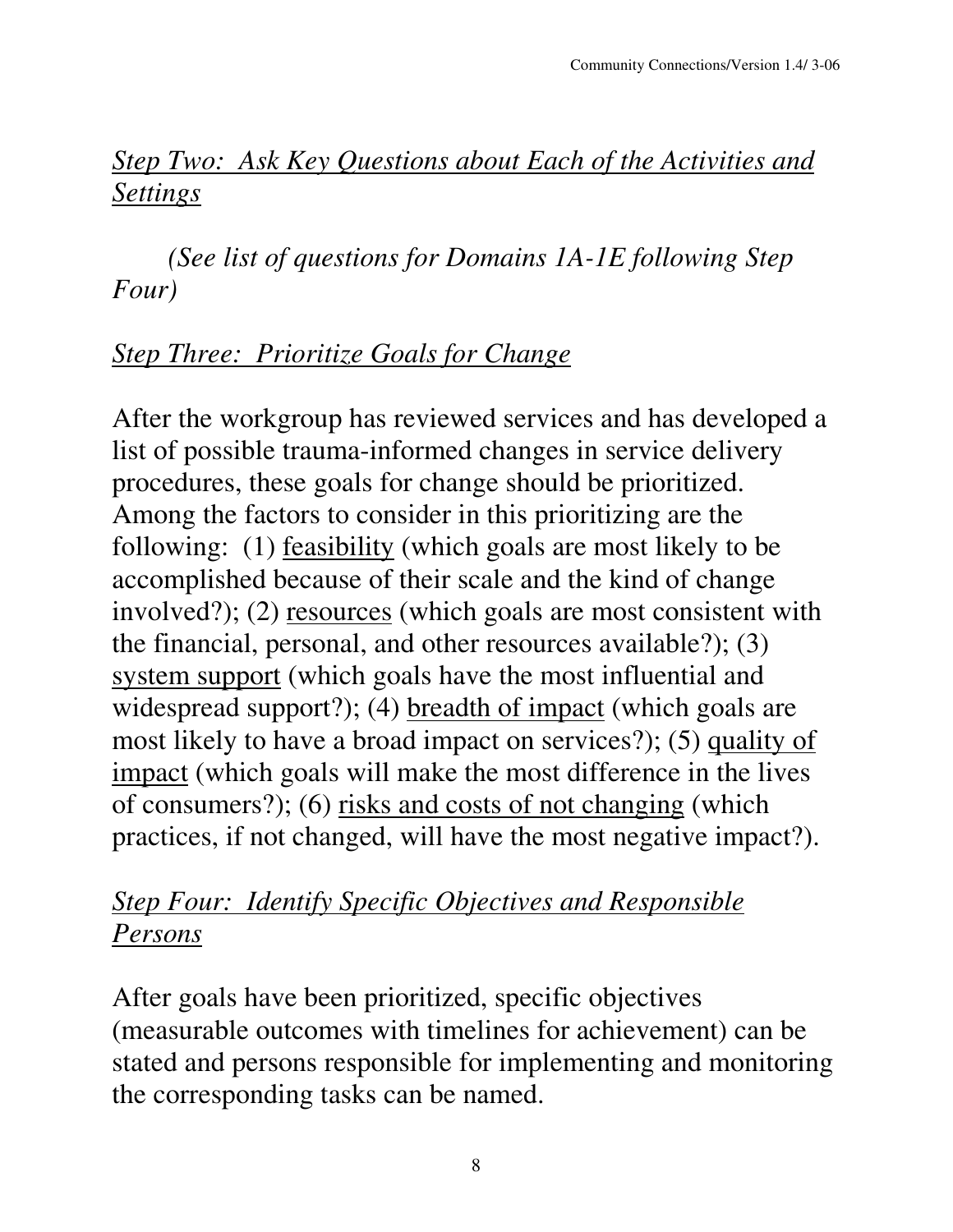## *Step Two: Ask Key Questions about Each of the Activities and Settings*

*(See list of questions for Domains 1A-1E following Step Four)*

## *Step Three: Prioritize Goals for Change*

After the workgroup has reviewed services and has developed a list of possible trauma-informed changes in service delivery procedures, these goals for change should be prioritized. Among the factors to consider in this prioritizing are the following: (1) feasibility (which goals are most likely to be accomplished because of their scale and the kind of change involved?); (2) resources (which goals are most consistent with the financial, personal, and other resources available?); (3) system support (which goals have the most influential and widespread support?); (4) <u>breadth of impact</u> (which goals are most likely to have a broad impact on services?); (5) quality of impact (which goals will make the most difference in the lives of consumers?); (6) risks and costs of not changing (which practices, if not changed, will have the most negative impact?).

#### *Step Four: Identify Specific Objectives and Responsible Persons*

After goals have been prioritized, specific objectives (measurable outcomes with timelines for achievement) can be stated and persons responsible for implementing and monitoring the corresponding tasks can be named.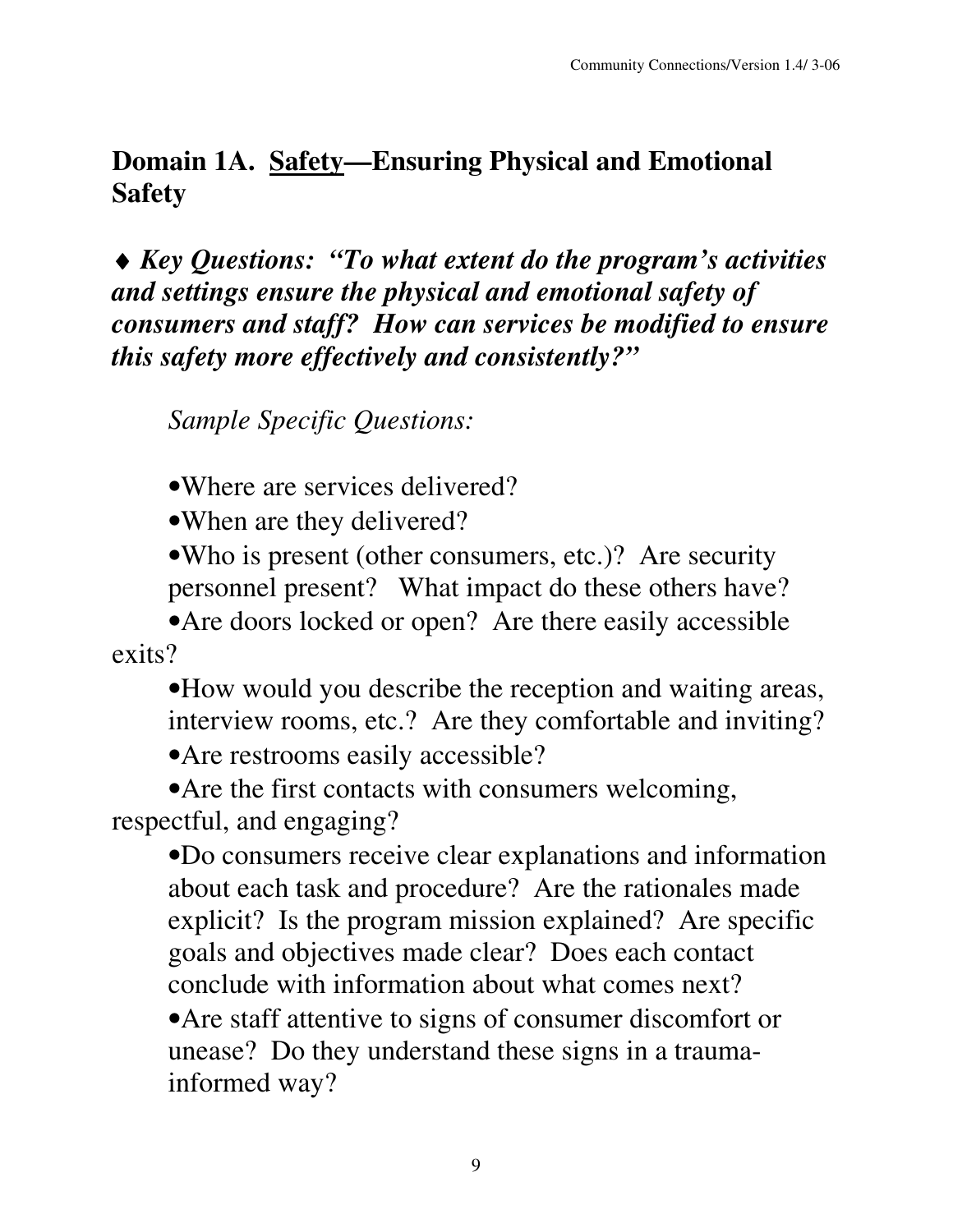#### **Domain 1A. Safety—Ensuring Physical and Emotional Safety**

♦ *Key Questions: "To what extent do the program's activities and settings ensure the physical and emotional safety of consumers and staff? How can services be modified to ensure this safety more effectively and consistently?"*

*Sample Specific Questions:*

•Where are services delivered?

•When are they delivered?

•Who is present (other consumers, etc.)? Are security personnel present? What impact do these others have?

• Are doors locked or open? Are there easily accessible exits?

•How would you describe the reception and waiting areas, interview rooms, etc.? Are they comfortable and inviting?

•Are restrooms easily accessible?

• Are the first contacts with consumers welcoming, respectful, and engaging?

•Do consumers receive clear explanations and information about each task and procedure? Are the rationales made explicit? Is the program mission explained? Are specific goals and objectives made clear? Does each contact conclude with information about what comes next?

•Are staff attentive to signs of consumer discomfort or unease? Do they understand these signs in a traumainformed way?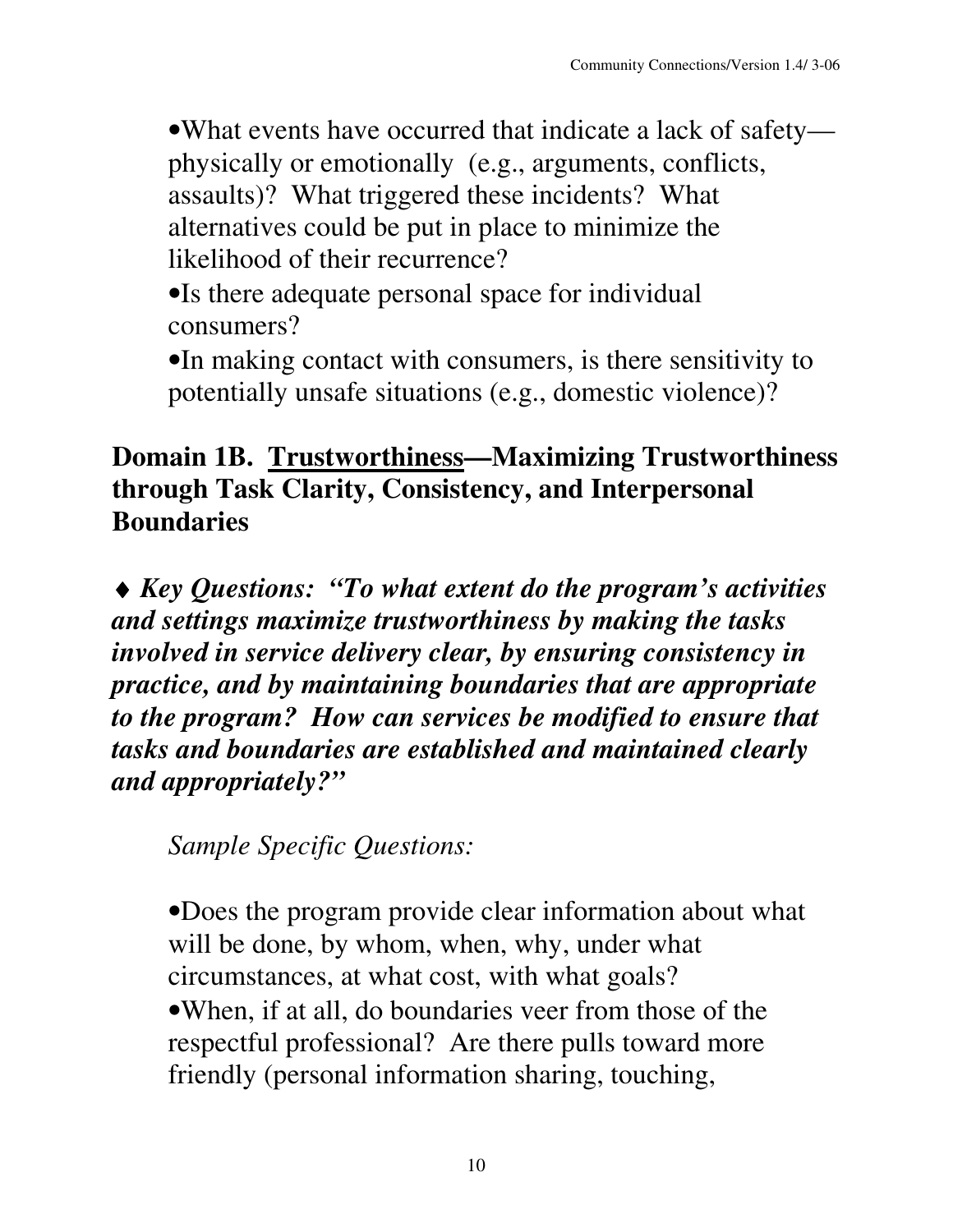•What events have occurred that indicate a lack of safety physically or emotionally (e.g., arguments, conflicts, assaults)? What triggered these incidents? What alternatives could be put in place to minimize the likelihood of their recurrence?

•Is there adequate personal space for individual consumers?

•In making contact with consumers, is there sensitivity to potentially unsafe situations (e.g., domestic violence)?

#### **Domain 1B. Trustworthiness—Maximizing Trustworthiness through Task Clarity, Consistency, and Interpersonal Boundaries**

♦ *Key Questions: "To what extent do the program's activities and settings maximize trustworthiness by making the tasks involved in service delivery clear, by ensuring consistency in practice, and by maintaining boundaries that are appropriate to the program? How can services be modified to ensure that tasks and boundaries are established and maintained clearly and appropriately?"*

*Sample Specific Questions:*

•Does the program provide clear information about what will be done, by whom, when, why, under what circumstances, at what cost, with what goals? •When, if at all, do boundaries veer from those of the respectful professional? Are there pulls toward more friendly (personal information sharing, touching,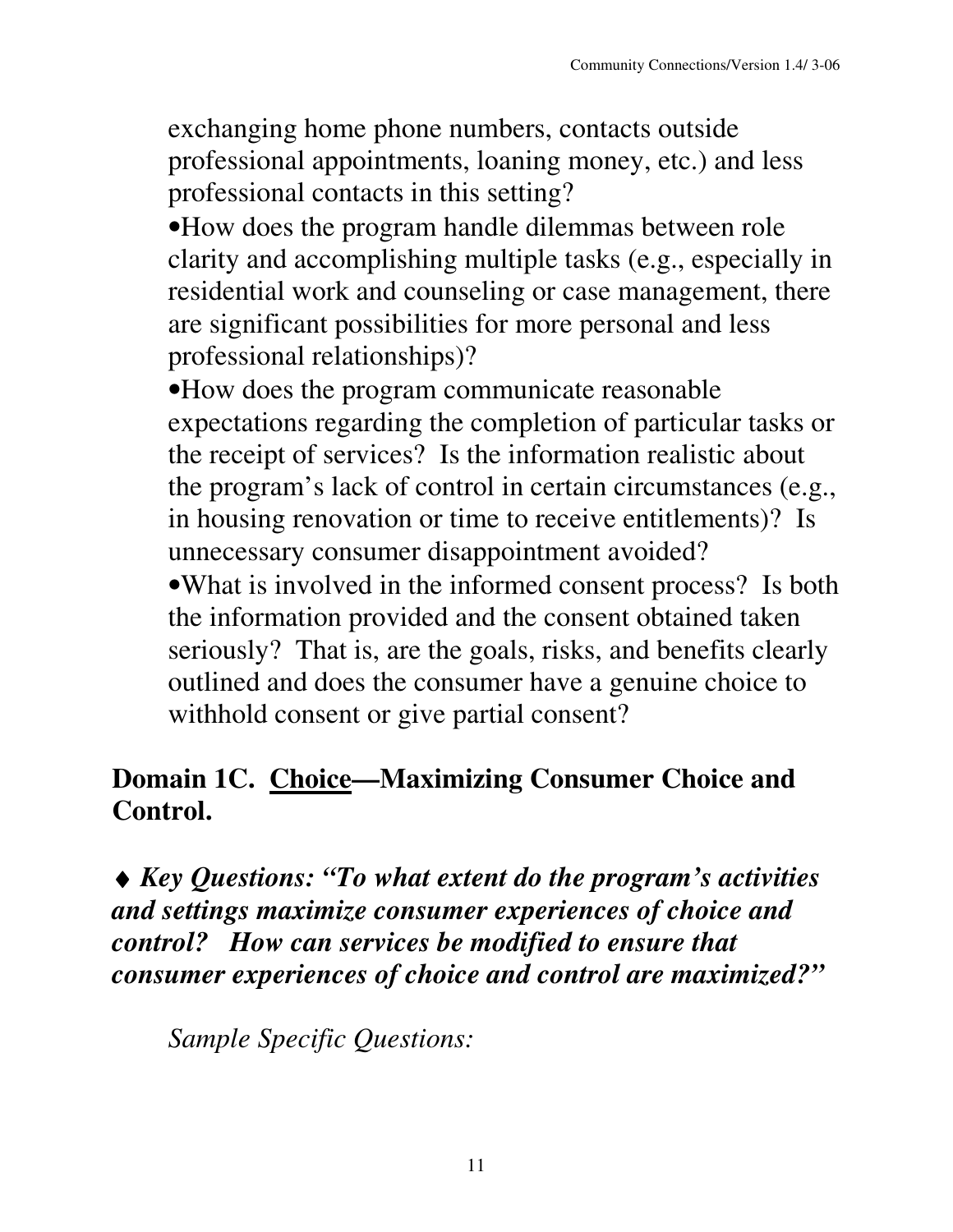exchanging home phone numbers, contacts outside professional appointments, loaning money, etc.) and less professional contacts in this setting?

•How does the program handle dilemmas between role clarity and accomplishing multiple tasks (e.g., especially in residential work and counseling or case management, there are significant possibilities for more personal and less professional relationships)?

•How does the program communicate reasonable expectations regarding the completion of particular tasks or the receipt of services? Is the information realistic about the program's lack of control in certain circumstances (e.g., in housing renovation or time to receive entitlements)? Is unnecessary consumer disappointment avoided? •What is involved in the informed consent process? Is both the information provided and the consent obtained taken seriously? That is, are the goals, risks, and benefits clearly

outlined and does the consumer have a genuine choice to withhold consent or give partial consent?

#### **Domain 1C. Choice—Maximizing Consumer Choice and Control.**

♦ *Key Questions: "To what extent do the program's activities and settings maximize consumer experiences of choice and control? How can services be modified to ensure that consumer experiences of choice and control are maximized?"*

*Sample Specific Questions:*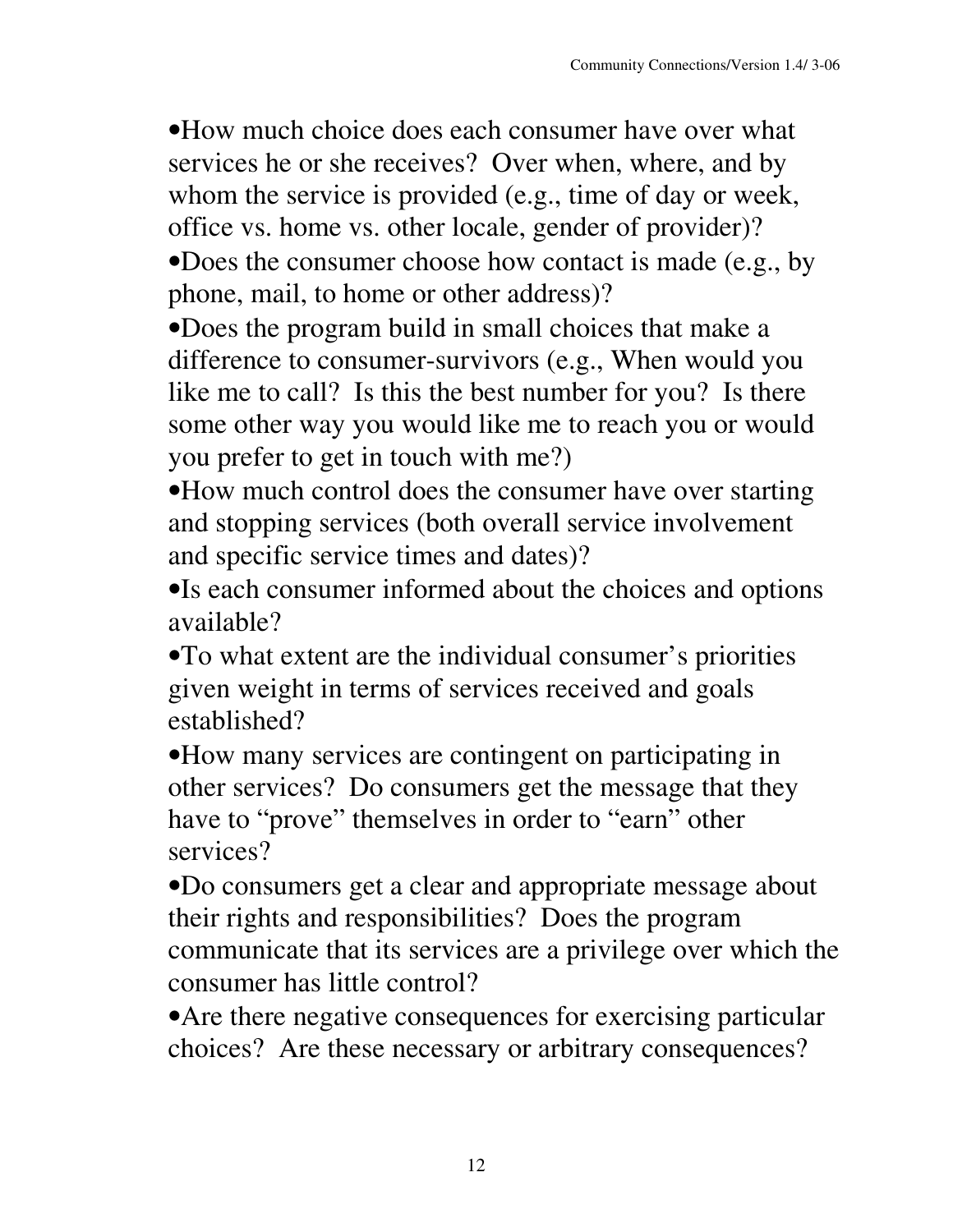•How much choice does each consumer have over what services he or she receives? Over when, where, and by whom the service is provided (e.g., time of day or week, office vs. home vs. other locale, gender of provider)?

•Does the consumer choose how contact is made (e.g., by phone, mail, to home or other address)?

•Does the program build in small choices that make a difference to consumer-survivors (e.g., When would you like me to call? Is this the best number for you? Is there some other way you would like me to reach you or would you prefer to get in touch with me?)

•How much control does the consumer have over starting and stopping services (both overall service involvement and specific service times and dates)?

•Is each consumer informed about the choices and options available?

•To what extent are the individual consumer's priorities given weight in terms of services received and goals established?

•How many services are contingent on participating in other services? Do consumers get the message that they have to "prove" themselves in order to "earn" other services?

•Do consumers get a clear and appropriate message about their rights and responsibilities? Does the program communicate that its services are a privilege over which the consumer has little control?

•Are there negative consequences for exercising particular choices? Are these necessary or arbitrary consequences?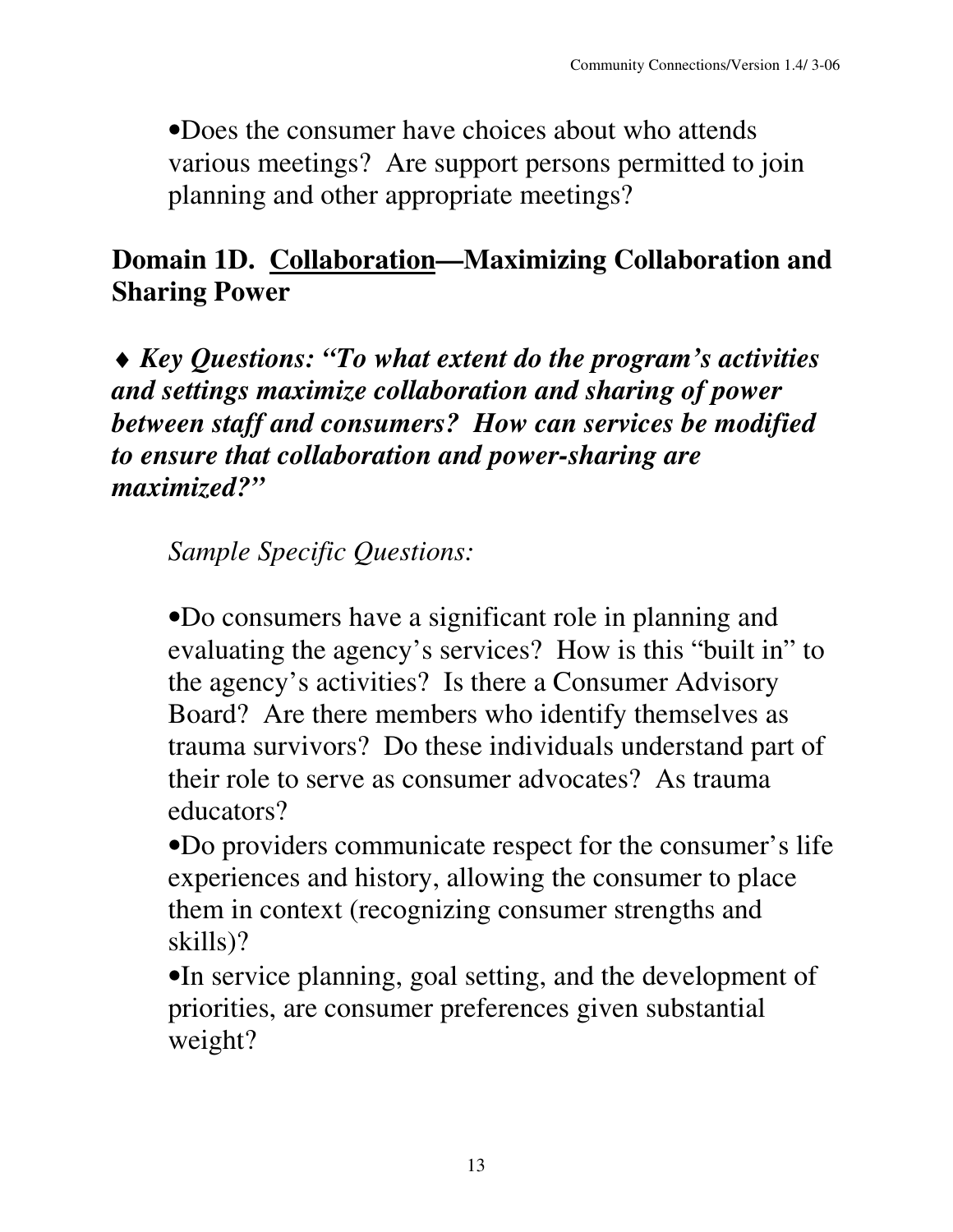•Does the consumer have choices about who attends various meetings? Are support persons permitted to join planning and other appropriate meetings?

### **Domain 1D. Collaboration—Maximizing Collaboration and Sharing Power**

♦ *Key Questions: "To what extent do the program's activities and settings maximize collaboration and sharing of power between staff and consumers? How can services be modified to ensure that collaboration and power-sharing are maximized?"*

*Sample Specific Questions:*

•Do consumers have a significant role in planning and evaluating the agency's services? How is this "built in" to the agency's activities? Is there a Consumer Advisory Board? Are there members who identify themselves as trauma survivors? Do these individuals understand part of their role to serve as consumer advocates? As trauma educators?

•Do providers communicate respect for the consumer's life experiences and history, allowing the consumer to place them in context (recognizing consumer strengths and skills)?

•In service planning, goal setting, and the development of priorities, are consumer preferences given substantial weight?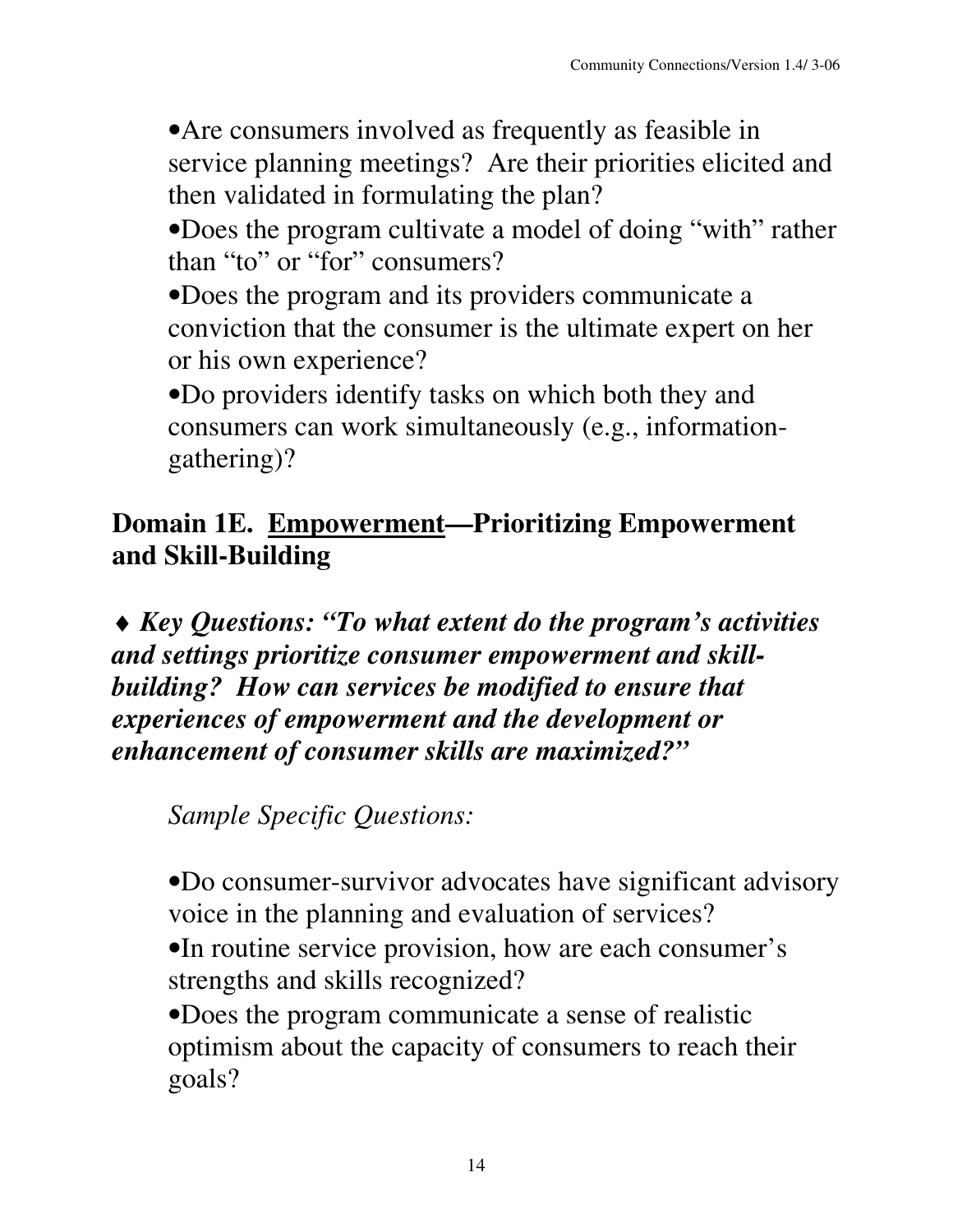•Are consumers involved as frequently as feasible in service planning meetings? Are their priorities elicited and then validated in formulating the plan?

•Does the program cultivate a model of doing "with" rather than "to" or "for" consumers?

•Does the program and its providers communicate a conviction that the consumer is the ultimate expert on her or his own experience?

•Do providers identify tasks on which both they and consumers can work simultaneously (e.g., informationgathering)?

#### **Domain 1E. Empowerment—Prioritizing Empowerment and Skill-Building**

♦ *Key Questions: "To what extent do the program's activities and settings prioritize consumer empowerment and skillbuilding? How can services be modified to ensure that experiences of empowerment and the development or enhancement of consumer skills are maximized?"*

*Sample Specific Questions:*

•Do consumer-survivor advocates have significant advisory voice in the planning and evaluation of services?

•In routine service provision, how are each consumer's strengths and skills recognized?

•Does the program communicate a sense of realistic optimism about the capacity of consumers to reach their goals?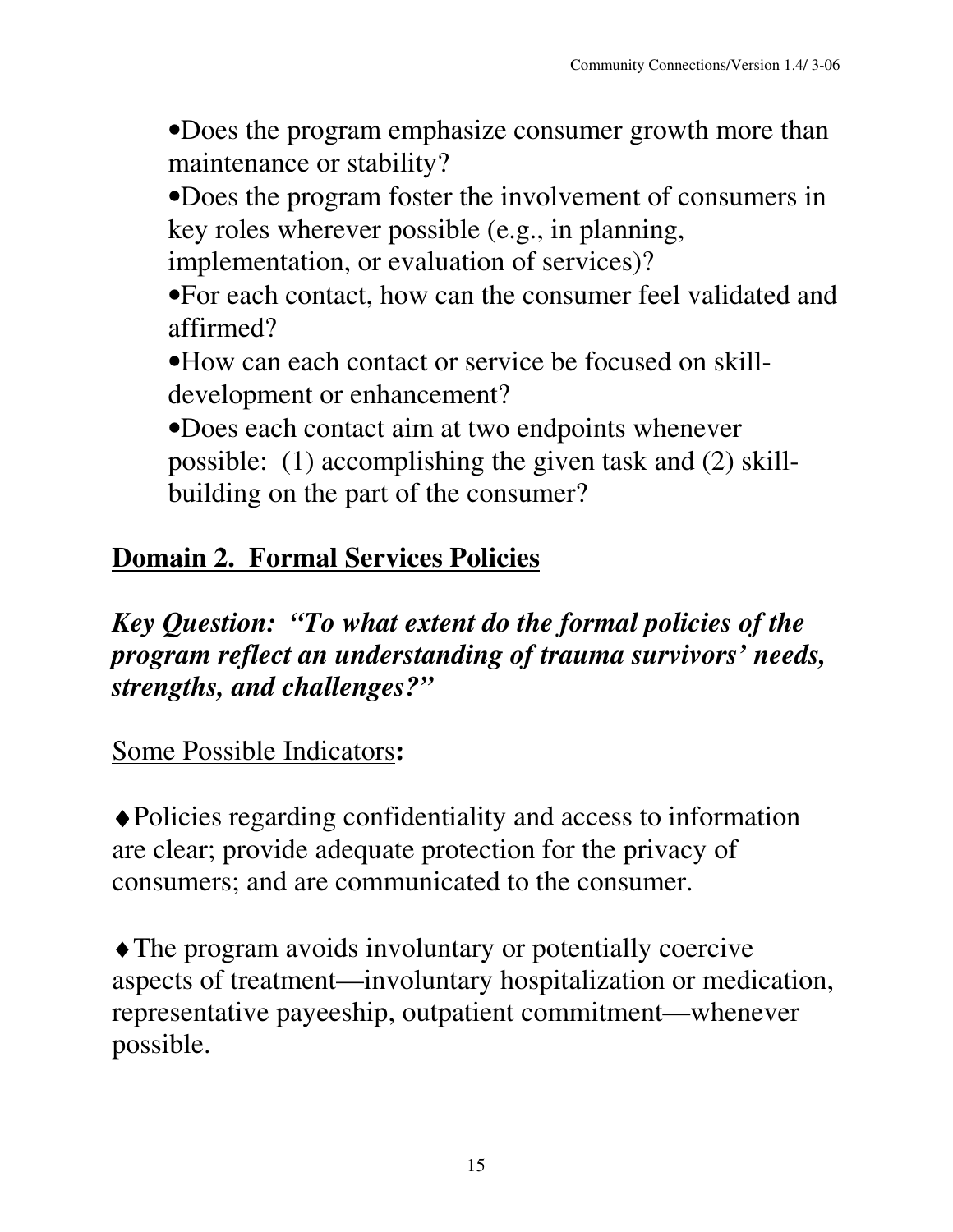•Does the program emphasize consumer growth more than maintenance or stability?

•Does the program foster the involvement of consumers in key roles wherever possible (e.g., in planning,

implementation, or evaluation of services)?

•For each contact, how can the consumer feel validated and affirmed?

•How can each contact or service be focused on skilldevelopment or enhancement?

•Does each contact aim at two endpoints whenever possible: (1) accomplishing the given task and (2) skillbuilding on the part of the consumer?

# **Domain 2. Formal Services Policies**

### *Key Question: "To what extent do the formal policies of the program reflect an understanding of trauma survivors' needs, strengths, and challenges?"*

Some Possible Indicators**:**

♦Policies regarding confidentiality and access to information are clear; provide adequate protection for the privacy of consumers; and are communicated to the consumer.

♦The program avoids involuntary or potentially coercive aspects of treatment—involuntary hospitalization or medication, representative payeeship, outpatient commitment—whenever possible.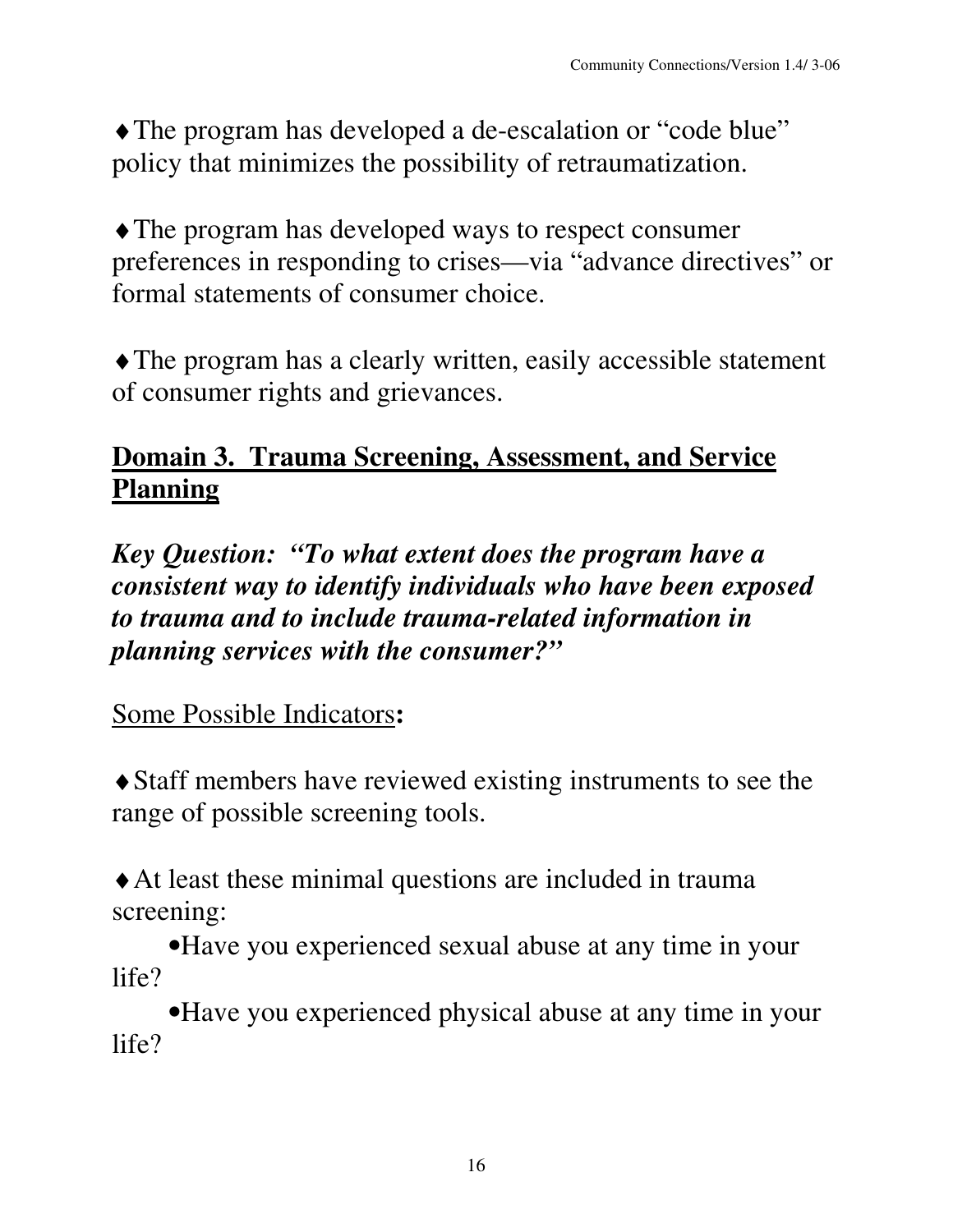♦The program has developed a de-escalation or "code blue" policy that minimizes the possibility of retraumatization.

♦The program has developed ways to respect consumer preferences in responding to crises—via "advance directives" or formal statements of consumer choice.

♦The program has a clearly written, easily accessible statement of consumer rights and grievances.

## **Domain 3. Trauma Screening, Assessment, and Service Planning**

*Key Question: "To what extent does the program have a consistent way to identify individuals who have been exposed to trauma and to include trauma-related information in planning services with the consumer?"*

Some Possible Indicators**:**

♦Staff members have reviewed existing instruments to see the range of possible screening tools.

♦At least these minimal questions are included in trauma screening:

•Have you experienced sexual abuse at any time in your life?

•Have you experienced physical abuse at any time in your life?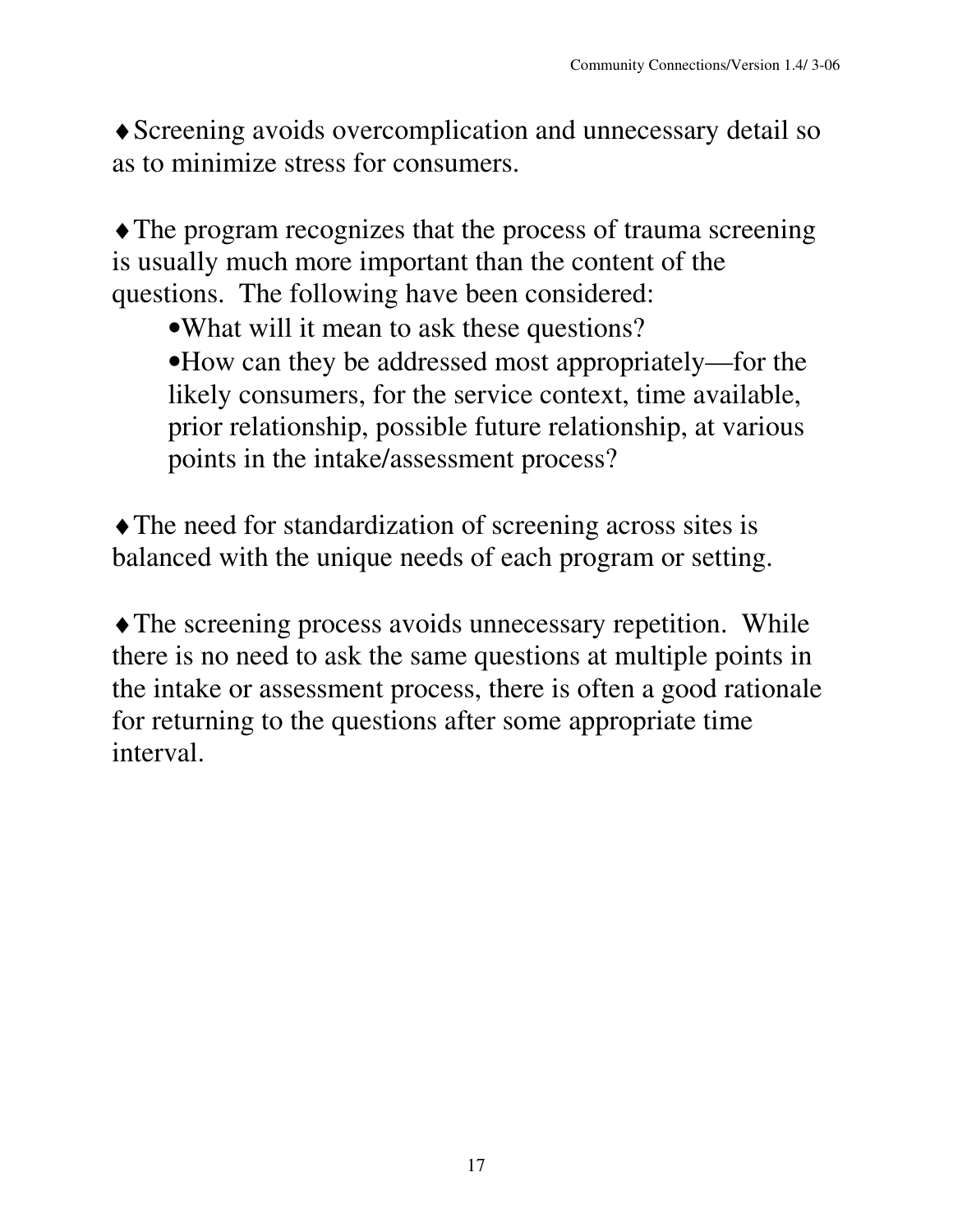♦Screening avoids overcomplication and unnecessary detail so as to minimize stress for consumers.

• The program recognizes that the process of trauma screening is usually much more important than the content of the questions. The following have been considered:

- •What will it mean to ask these questions?
- •How can they be addressed most appropriately—for the likely consumers, for the service context, time available, prior relationship, possible future relationship, at various points in the intake/assessment process?

♦The need for standardization of screening across sites is balanced with the unique needs of each program or setting.

♦The screening process avoids unnecessary repetition. While there is no need to ask the same questions at multiple points in the intake or assessment process, there is often a good rationale for returning to the questions after some appropriate time interval.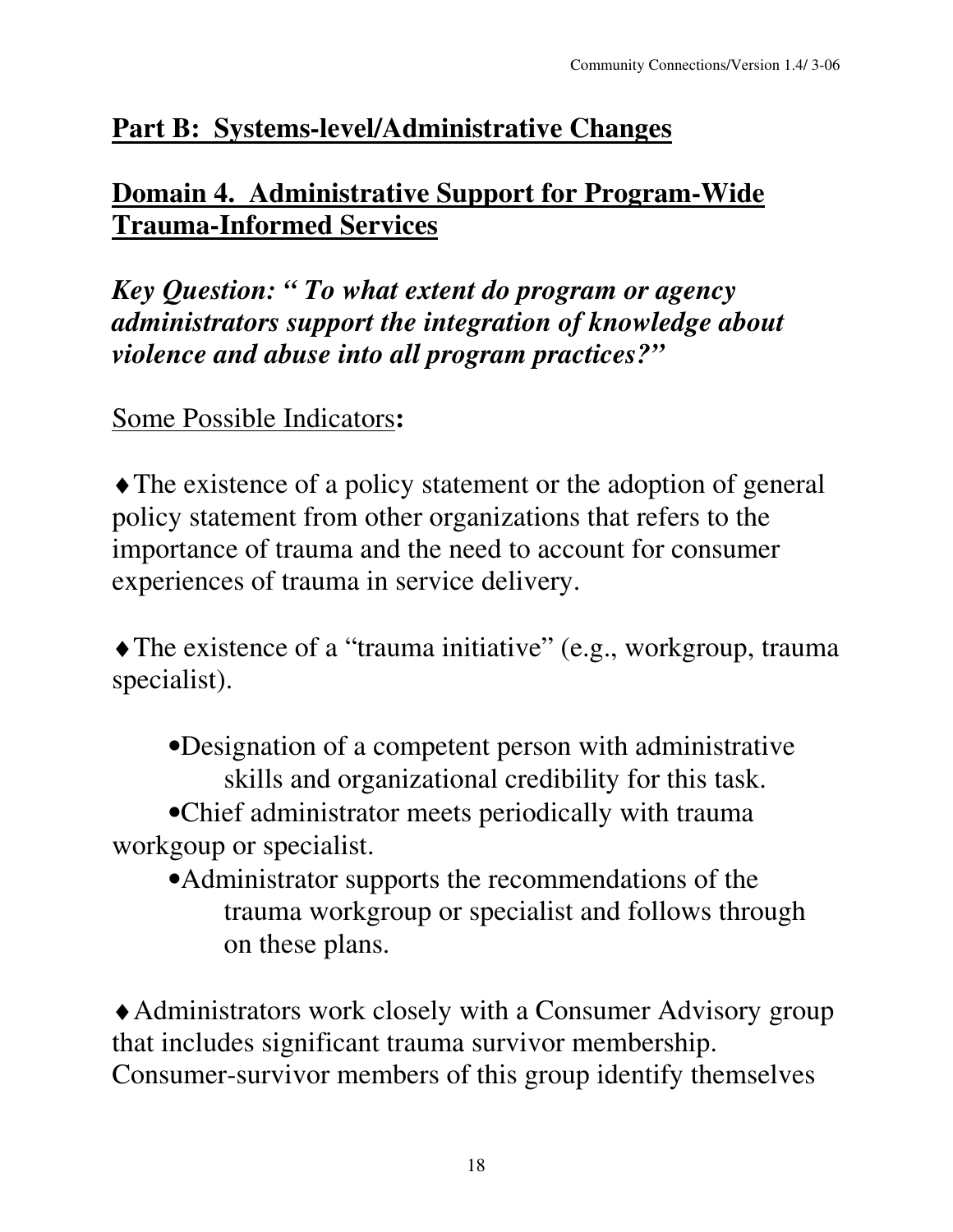### **Part B: Systems-level/Administrative Changes**

### **Domain 4. Administrative Support for Program-Wide Trauma-Informed Services**

*Key Question: " To what extent do program or agency administrators support the integration of knowledge about violence and abuse into all program practices?"*

Some Possible Indicators**:**

♦The existence of a policy statement or the adoption of general policy statement from other organizations that refers to the importance of trauma and the need to account for consumer experiences of trauma in service delivery.

♦The existence of a "trauma initiative" (e.g., workgroup, trauma specialist).

•Designation of a competent person with administrative skills and organizational credibility for this task.

•Chief administrator meets periodically with trauma workgoup or specialist.

•Administrator supports the recommendations of the trauma workgroup or specialist and follows through on these plans.

♦Administrators work closely with a Consumer Advisory group that includes significant trauma survivor membership. Consumer-survivor members of this group identify themselves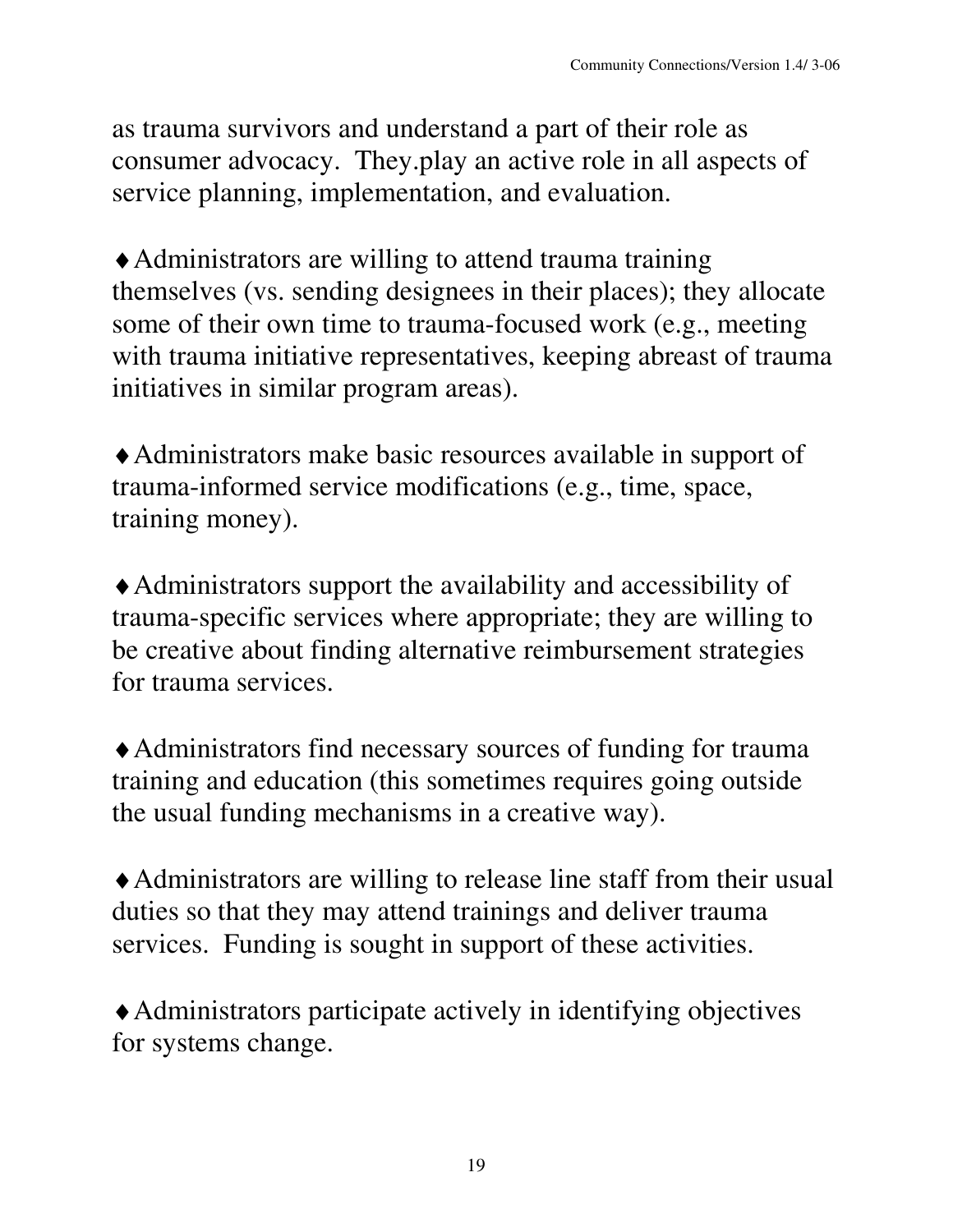as trauma survivors and understand a part of their role as consumer advocacy. They.play an active role in all aspects of service planning, implementation, and evaluation.

♦Administrators are willing to attend trauma training themselves (vs. sending designees in their places); they allocate some of their own time to trauma-focused work (e.g., meeting with trauma initiative representatives, keeping abreast of trauma initiatives in similar program areas).

♦Administrators make basic resources available in support of trauma-informed service modifications (e.g., time, space, training money).

♦Administrators support the availability and accessibility of trauma-specific services where appropriate; they are willing to be creative about finding alternative reimbursement strategies for trauma services.

♦Administrators find necessary sources of funding for trauma training and education (this sometimes requires going outside the usual funding mechanisms in a creative way).

♦Administrators are willing to release line staff from their usual duties so that they may attend trainings and deliver trauma services. Funding is sought in support of these activities.

♦Administrators participate actively in identifying objectives for systems change.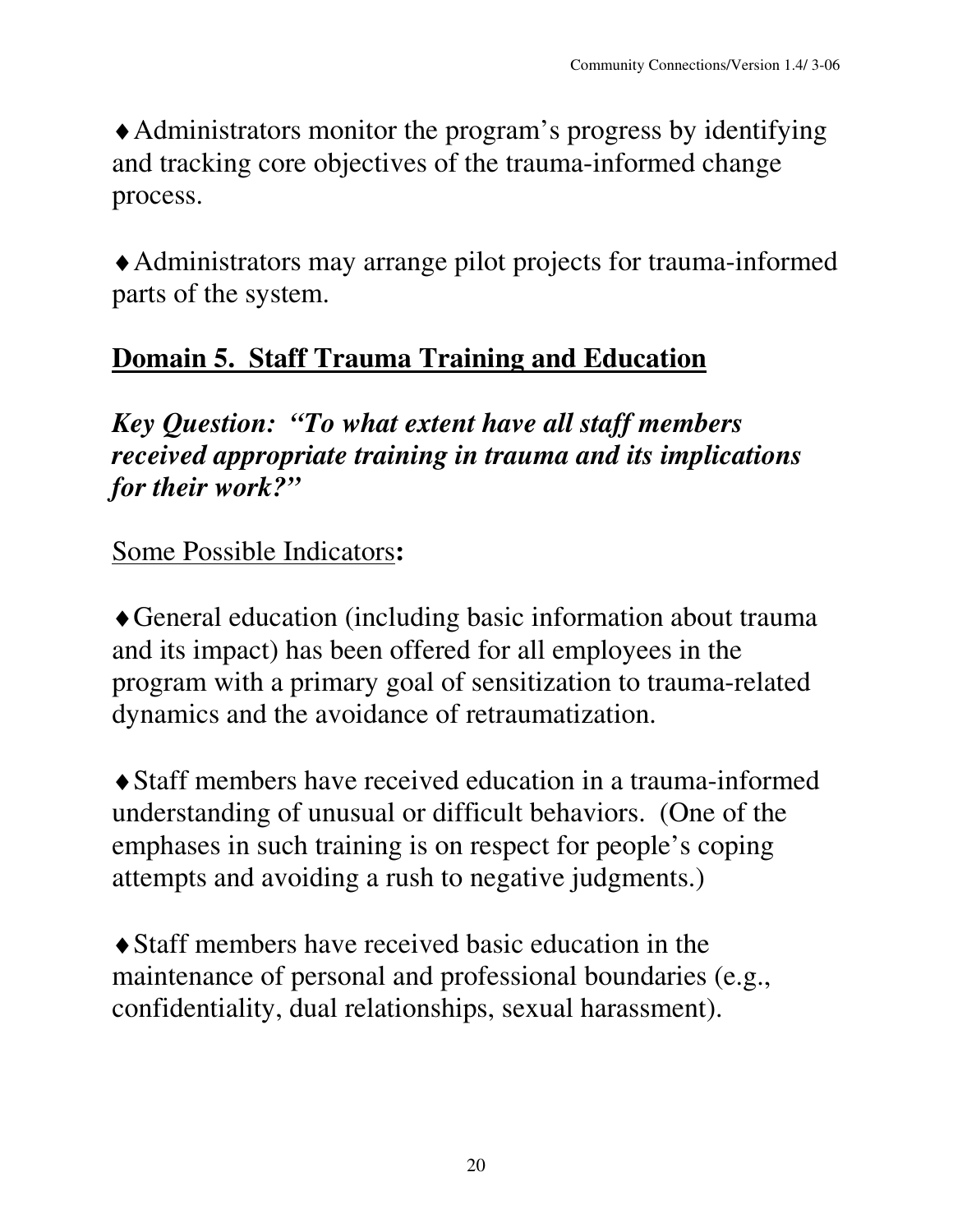♦Administrators monitor the program's progress by identifying and tracking core objectives of the trauma-informed change process.

♦Administrators may arrange pilot projects for trauma-informed parts of the system.

### **Domain 5. Staff Trauma Training and Education**

*Key Question: "To what extent have all staff members received appropriate training in trauma and its implications for their work?"*

Some Possible Indicators**:**

♦General education (including basic information about trauma and its impact) has been offered for all employees in the program with a primary goal of sensitization to trauma-related dynamics and the avoidance of retraumatization.

♦Staff members have received education in a trauma-informed understanding of unusual or difficult behaviors. (One of the emphases in such training is on respect for people's coping attempts and avoiding a rush to negative judgments.)

♦Staff members have received basic education in the maintenance of personal and professional boundaries (e.g., confidentiality, dual relationships, sexual harassment).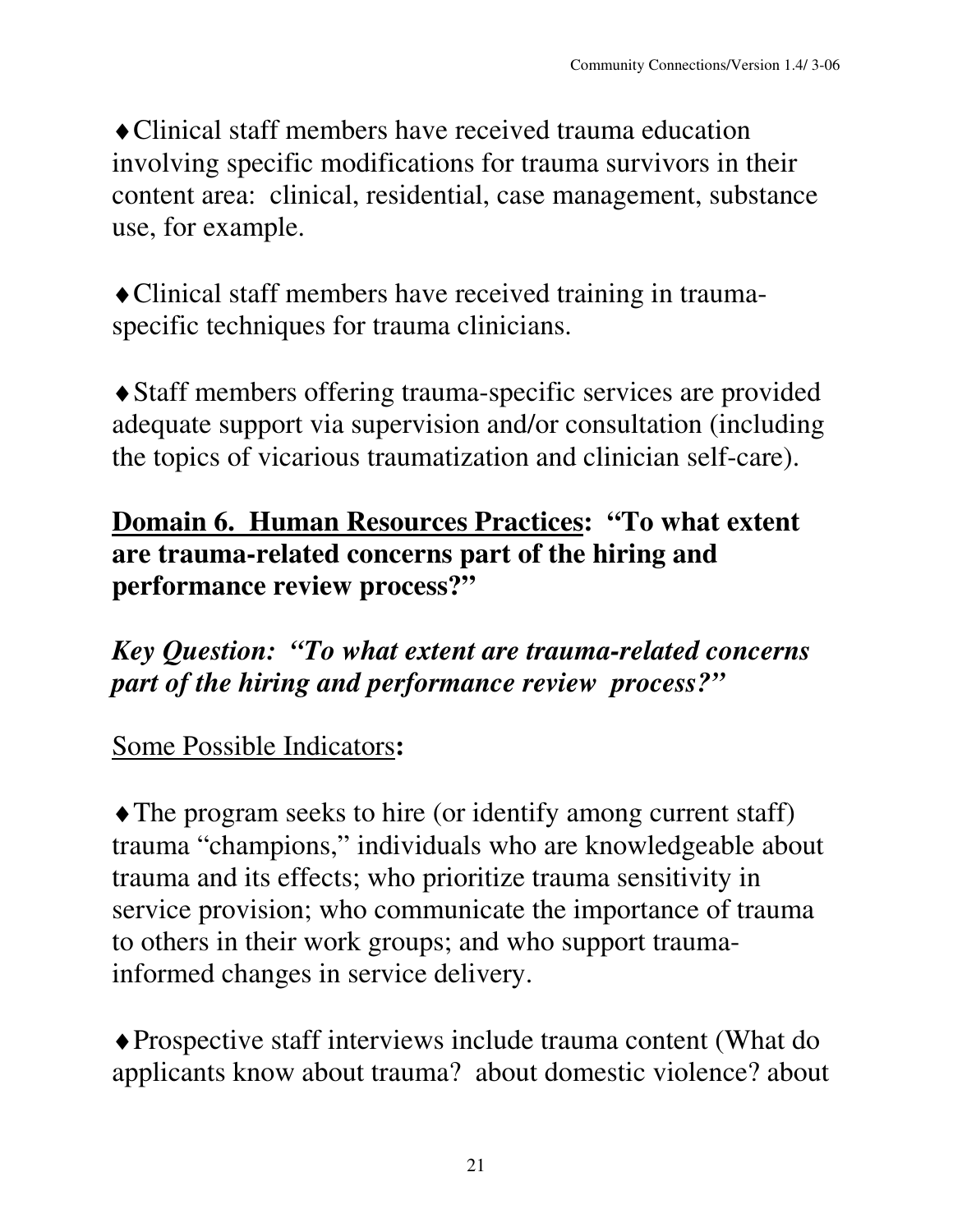♦Clinical staff members have received trauma education involving specific modifications for trauma survivors in their content area: clinical, residential, case management, substance use, for example.

♦Clinical staff members have received training in traumaspecific techniques for trauma clinicians.

♦Staff members offering trauma-specific services are provided adequate support via supervision and/or consultation (including the topics of vicarious traumatization and clinician self-care).

#### **Domain 6. Human Resources Practices: "To what extent are trauma-related concerns part of the hiring and performance review process?"**

*Key Question: "To what extent are trauma-related concerns part of the hiring and performance review process?"*

#### Some Possible Indicators**:**

♦The program seeks to hire (or identify among current staff) trauma "champions," individuals who are knowledgeable about trauma and its effects; who prioritize trauma sensitivity in service provision; who communicate the importance of trauma to others in their work groups; and who support traumainformed changes in service delivery.

♦Prospective staff interviews include trauma content (What do applicants know about trauma? about domestic violence? about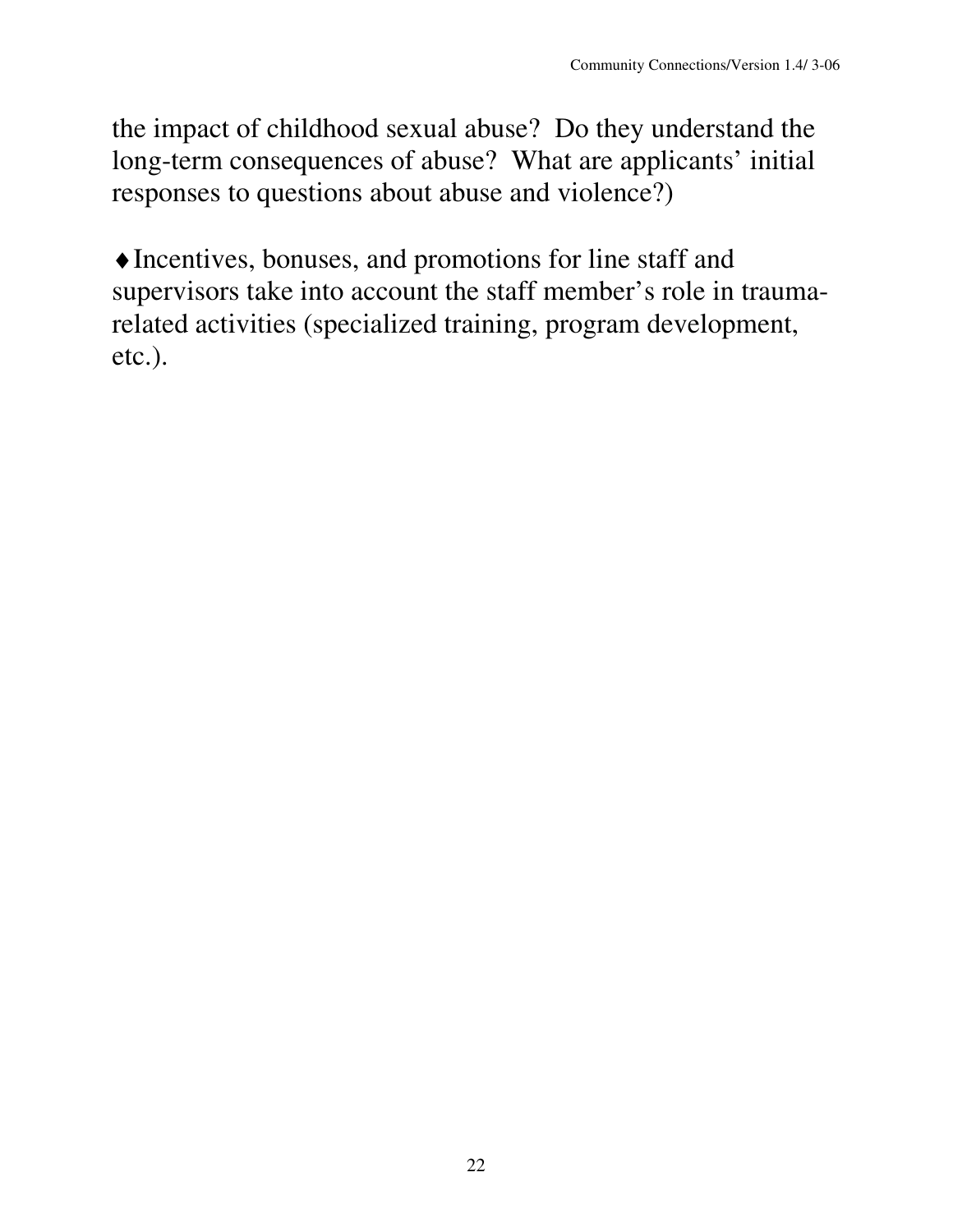the impact of childhood sexual abuse? Do they understand the long-term consequences of abuse? What are applicants' initial responses to questions about abuse and violence?)

♦Incentives, bonuses, and promotions for line staff and supervisors take into account the staff member's role in traumarelated activities (specialized training, program development, etc.).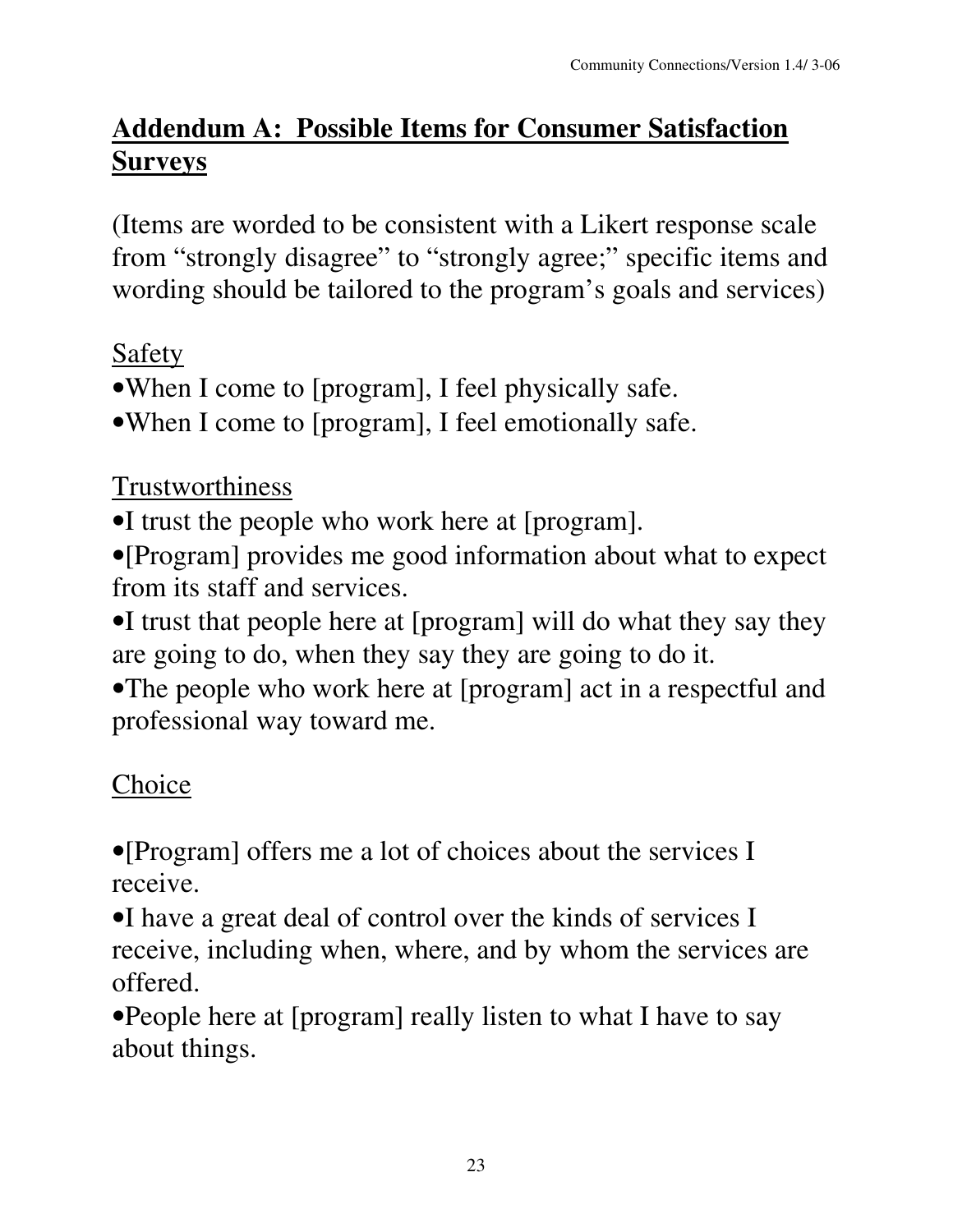# **Addendum A: Possible Items for Consumer Satisfaction Surveys**

(Items are worded to be consistent with a Likert response scale from "strongly disagree" to "strongly agree;" specific items and wording should be tailored to the program's goals and services)

## Safety

- •When I come to [program], I feel physically safe.
- •When I come to [program], I feel emotionally safe.

Trustworthiness

- •I trust the people who work here at [program].
- •[Program] provides me good information about what to expect from its staff and services.
- •I trust that people here at [program] will do what they say they are going to do, when they say they are going to do it.
- •The people who work here at [program] act in a respectful and professional way toward me.

# Choice

•[Program] offers me a lot of choices about the services I receive.

•I have a great deal of control over the kinds of services I receive, including when, where, and by whom the services are offered.

•People here at [program] really listen to what I have to say about things.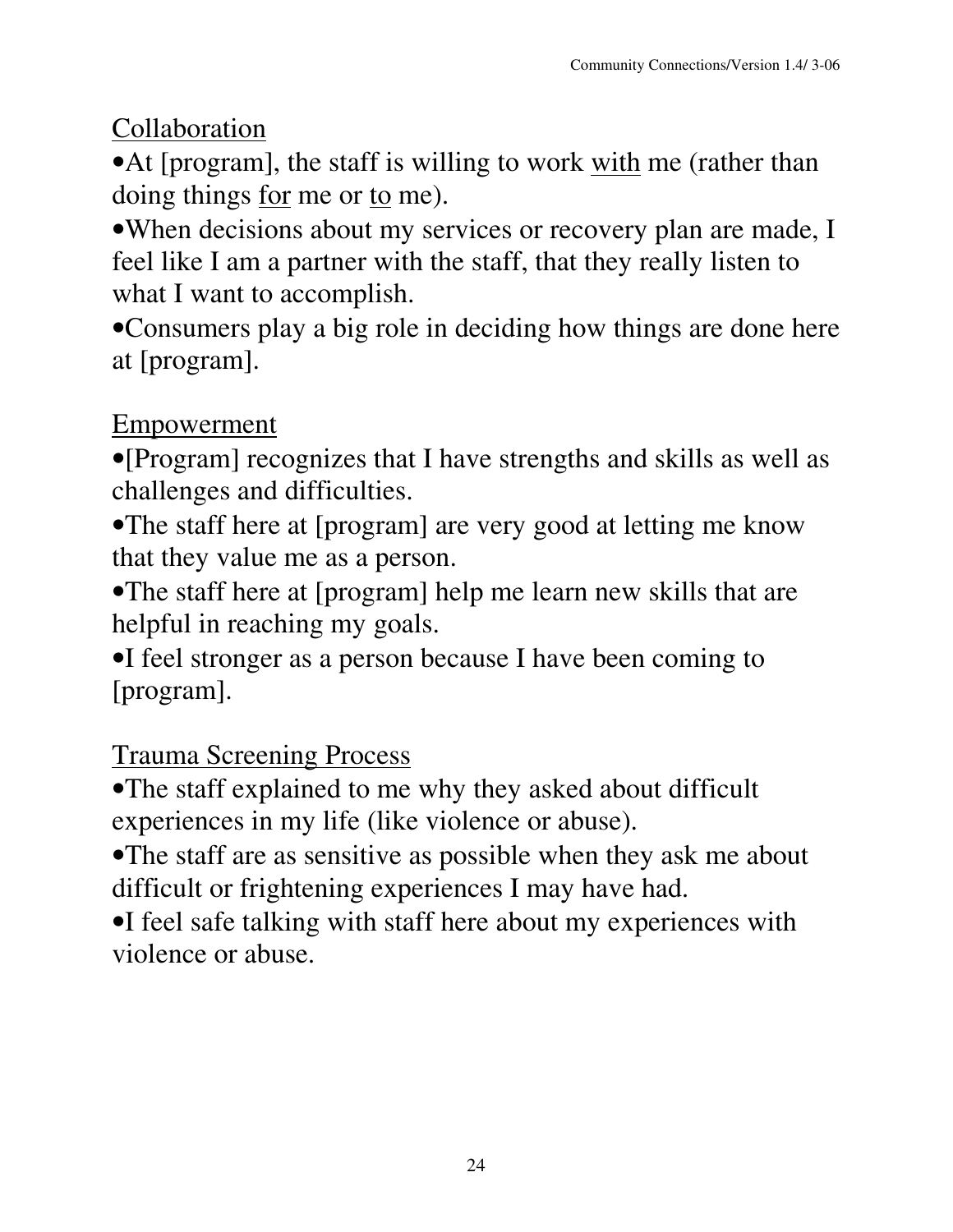Collaboration

• At [program], the staff is willing to work with me (rather than doing things <u>for</u> me or to me).

•When decisions about my services or recovery plan are made, I feel like I am a partner with the staff, that they really listen to what I want to accomplish.

•Consumers play a big role in deciding how things are done here at [program].

### Empowerment

•[Program] recognizes that I have strengths and skills as well as challenges and difficulties.

•The staff here at [program] are very good at letting me know that they value me as a person.

•The staff here at [program] help me learn new skills that are helpful in reaching my goals.

•I feel stronger as a person because I have been coming to [program].

## Trauma Screening Process

•The staff explained to me why they asked about difficult experiences in my life (like violence or abuse).

•The staff are as sensitive as possible when they ask me about difficult or frightening experiences I may have had.

•I feel safe talking with staff here about my experiences with violence or abuse.